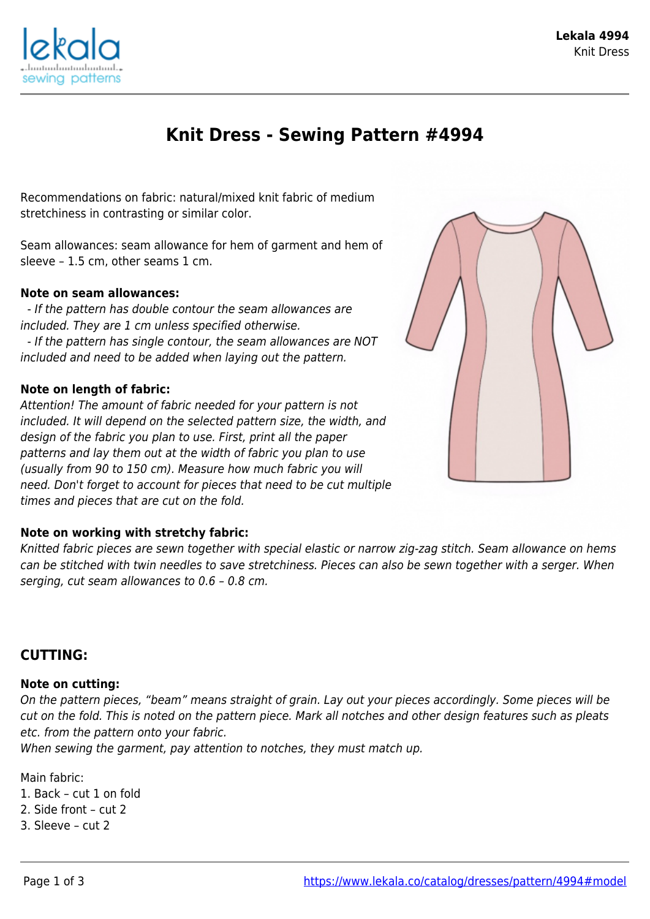

# **Knit Dress - Sewing Pattern #4994**

Recommendations on fabric: natural/mixed knit fabric of medium stretchiness in contrasting or similar color.

Seam allowances: seam allowance for hem of garment and hem of sleeve – 1.5 cm, other seams 1 cm.

### **Note on seam allowances:**

 - If the pattern has double contour the seam allowances are included. They are 1 cm unless specified otherwise. - If the pattern has single contour, the seam allowances are NOT included and need to be added when laying out the pattern.

### **Note on length of fabric:**

Attention! The amount of fabric needed for your pattern is not included. It will depend on the selected pattern size, the width, and design of the fabric you plan to use. First, print all the paper patterns and lay them out at the width of fabric you plan to use (usually from 90 to 150 cm). Measure how much fabric you will need. Don't forget to account for pieces that need to be cut multiple times and pieces that are cut on the fold.



Knitted fabric pieces are sewn together with special elastic or narrow zig-zag stitch. Seam allowance on hems can be stitched with twin needles to save stretchiness. Pieces can also be sewn together with a serger. When serging, cut seam allowances to 0.6 – 0.8 cm.

## **CUTTING:**

### **Note on cutting:**

On the pattern pieces, "beam" means straight of grain. Lay out your pieces accordingly. Some pieces will be cut on the fold. This is noted on the pattern piece. Mark all notches and other design features such as pleats etc. from the pattern onto your fabric.

When sewing the garment, pay attention to notches, they must match up.

Main fabric:

1. Back – cut 1 on fold

2. Side front – cut 2

3. Sleeve – cut 2

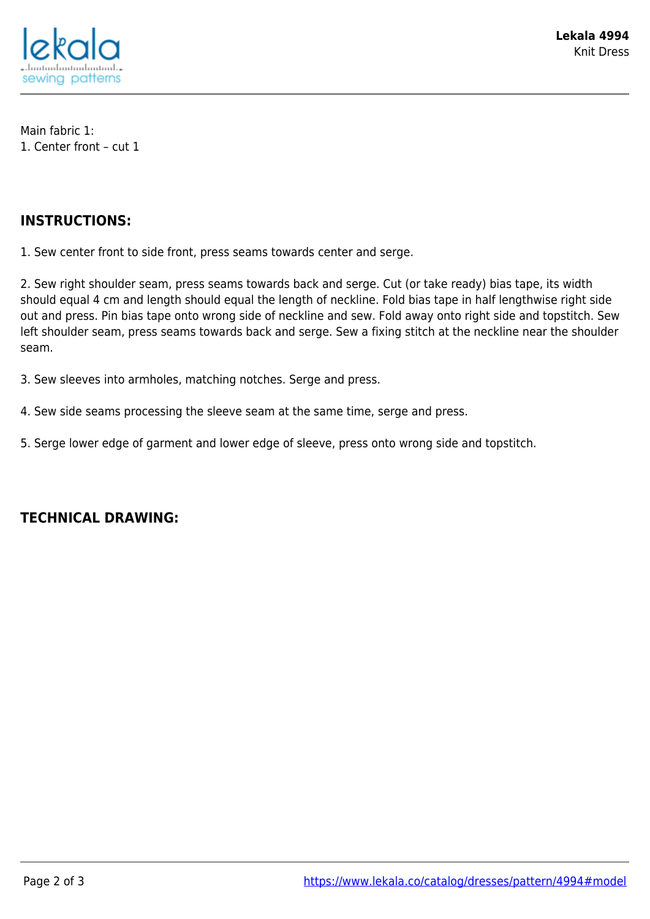

Main fabric 1: 1. Center front – cut 1

## **INSTRUCTIONS:**

1. Sew center front to side front, press seams towards center and serge.

2. Sew right shoulder seam, press seams towards back and serge. Cut (or take ready) bias tape, its width should equal 4 cm and length should equal the length of neckline. Fold bias tape in half lengthwise right side out and press. Pin bias tape onto wrong side of neckline and sew. Fold away onto right side and topstitch. Sew left shoulder seam, press seams towards back and serge. Sew a fixing stitch at the neckline near the shoulder seam.

3. Sew sleeves into armholes, matching notches. Serge and press.

- 4. Sew side seams processing the sleeve seam at the same time, serge and press.
- 5. Serge lower edge of garment and lower edge of sleeve, press onto wrong side and topstitch.

## **TECHNICAL DRAWING:**